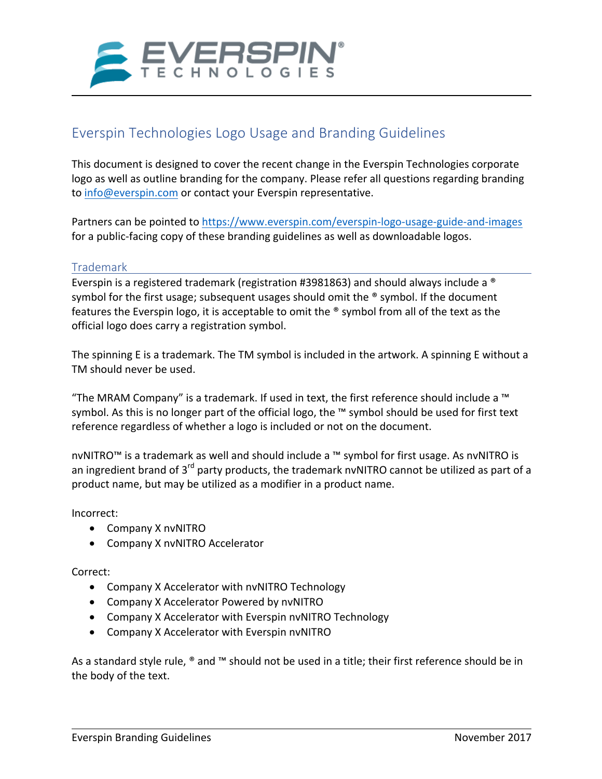

# Everspin Technologies Logo Usage and Branding Guidelines

This document is designed to cover the recent change in the Everspin Technologies corporate logo as well as outline branding for the company. Please refer all questions regarding branding to info@everspin.com or contact your Everspin representative.

Partners can be pointed to https://www.everspin.com/everspin-logo-usage-guide-and-images for a public-facing copy of these branding guidelines as well as downloadable logos.

#### Trademark

Everspin is a registered trademark (registration #3981863) and should always include a  $^{\circ}$ symbol for the first usage; subsequent usages should omit the  $\degree$  symbol. If the document features the Everspin logo, it is acceptable to omit the  $\degree$  symbol from all of the text as the official logo does carry a registration symbol.

The spinning E is a trademark. The TM symbol is included in the artwork. A spinning E without a TM should never be used.

"The MRAM Company" is a trademark. If used in text, the first reference should include a  $™$ symbol. As this is no longer part of the official logo, the  $M$  symbol should be used for first text reference regardless of whether a logo is included or not on the document.

nvNITRO™ is a trademark as well and should include a ™ symbol for first usage. As nvNITRO is an ingredient brand of  $3^{rd}$  party products, the trademark nvNITRO cannot be utilized as part of a product name, but may be utilized as a modifier in a product name.

Incorrect: 

- Company X nvNITRO
- Company X nvNITRO Accelerator

Correct:

- Company X Accelerator with nvNITRO Technology
- Company X Accelerator Powered by nvNITRO
- Company X Accelerator with Everspin nvNITRO Technology
- Company X Accelerator with Everspin nvNITRO

As a standard style rule,  $^{\circ}$  and  $^{\mathsf{m}}$  should not be used in a title; their first reference should be in the body of the text.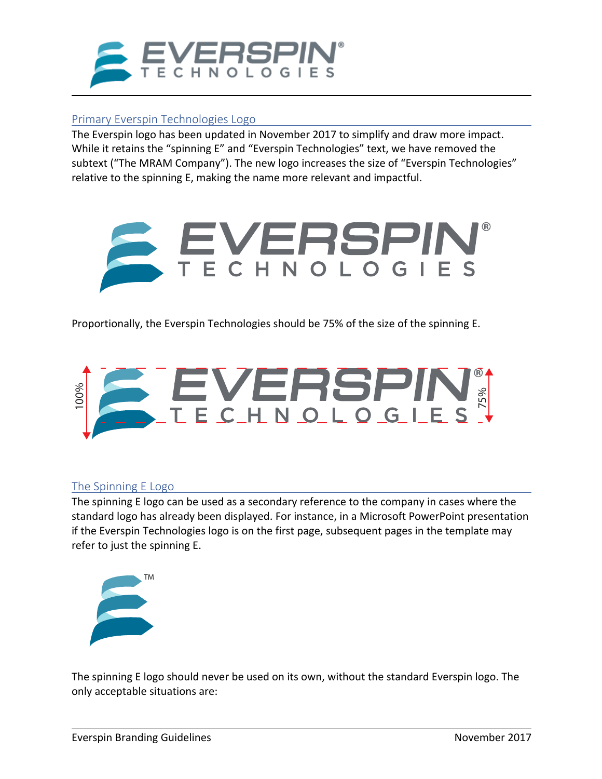

## Primary Everspin Technologies Logo

The Everspin logo has been updated in November 2017 to simplify and draw more impact. While it retains the "spinning  $E''$  and "Everspin Technologies" text, we have removed the subtext ("The MRAM Company"). The new logo increases the size of "Everspin Technologies" relative to the spinning E, making the name more relevant and impactful.



Proportionally, the Everspin Technologies should be 75% of the size of the spinning E.



## The Spinning E Logo

The spinning E logo can be used as a secondary reference to the company in cases where the standard logo has already been displayed. For instance, in a Microsoft PowerPoint presentation if the Everspin Technologies logo is on the first page, subsequent pages in the template may refer to just the spinning E.



The spinning E logo should never be used on its own, without the standard Everspin logo. The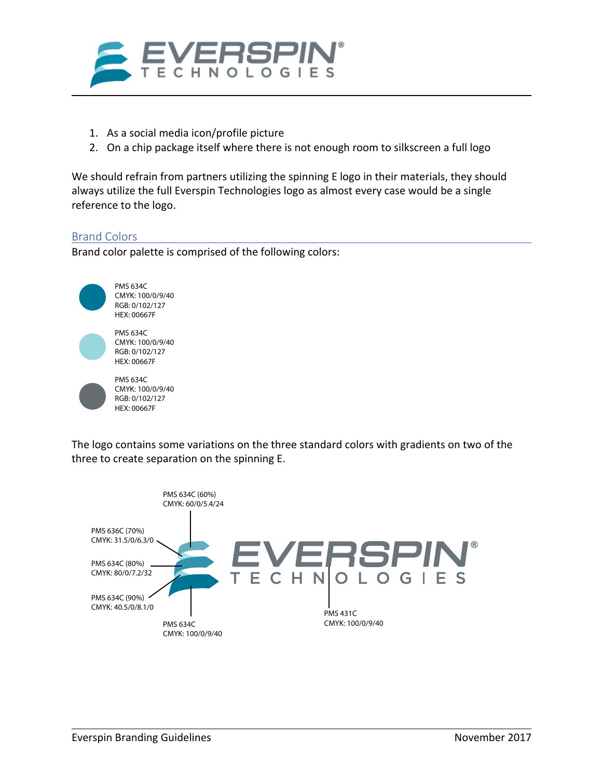

- 1. As a social media icon/profile picture
- 2. On a chip package itself where there is not enough room to silkscreen a full logo

We should refrain from partners utilizing the spinning E logo in their materials, they should always utilize the full Everspin Technologies logo as almost every case would be a single reference to the logo.

#### Brand Colors

Brand color palette is comprised of the following colors:



The logo contains some variations on the three standard colors with gradients on two of the three to create separation on the spinning E.